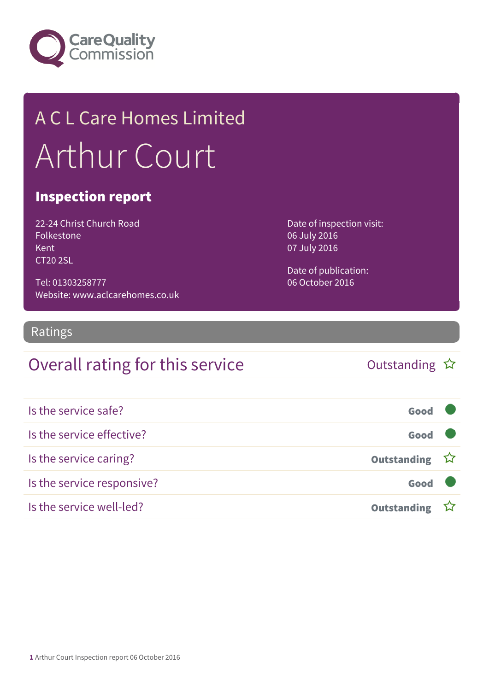

# A C L Care Homes Limited Arthur Court

#### Inspection report

22-24 Christ Church Road Folkestone Kent CT20 2SL

Tel: 01303258777 Website: www.aclcarehomes.co.uk Date of inspection visit: 06 July 2016 07 July 2016

Date of publication: 06 October 2016

#### Ratings

#### Overall rating for this service and the Cutstanding  $\hat{x}$

| Is the service safe?       | Good               |  |
|----------------------------|--------------------|--|
| Is the service effective?  | Good               |  |
| Is the service caring?     | Outstanding ☆      |  |
| Is the service responsive? | Good               |  |
| Is the service well-led?   | <b>Outstanding</b> |  |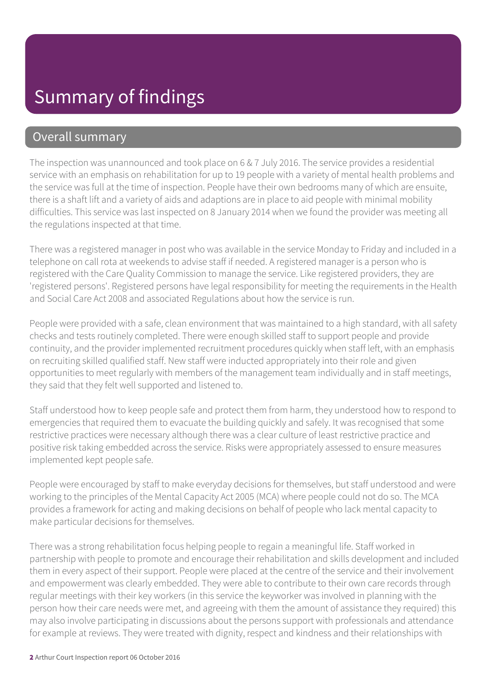#### Overall summary

The inspection was unannounced and took place on 6 & 7 July 2016. The service provides a residential service with an emphasis on rehabilitation for up to 19 people with a variety of mental health problems and the service was full at the time of inspection. People have their own bedrooms many of which are ensuite, there is a shaft lift and a variety of aids and adaptions are in place to aid people with minimal mobility difficulties. This service was last inspected on 8 January 2014 when we found the provider was meeting all the regulations inspected at that time.

There was a registered manager in post who was available in the service Monday to Friday and included in a telephone on call rota at weekends to advise staff if needed. A registered manager is a person who is registered with the Care Quality Commission to manage the service. Like registered providers, they are 'registered persons'. Registered persons have legal responsibility for meeting the requirements in the Health and Social Care Act 2008 and associated Regulations about how the service is run.

People were provided with a safe, clean environment that was maintained to a high standard, with all safety checks and tests routinely completed. There were enough skilled staff to support people and provide continuity, and the provider implemented recruitment procedures quickly when staff left, with an emphasis on recruiting skilled qualified staff. New staff were inducted appropriately into their role and given opportunities to meet regularly with members of the management team individually and in staff meetings, they said that they felt well supported and listened to.

Staff understood how to keep people safe and protect them from harm, they understood how to respond to emergencies that required them to evacuate the building quickly and safely. It was recognised that some restrictive practices were necessary although there was a clear culture of least restrictive practice and positive risk taking embedded across the service. Risks were appropriately assessed to ensure measures implemented kept people safe.

People were encouraged by staff to make everyday decisions for themselves, but staff understood and were working to the principles of the Mental Capacity Act 2005 (MCA) where people could not do so. The MCA provides a framework for acting and making decisions on behalf of people who lack mental capacity to make particular decisions for themselves.

There was a strong rehabilitation focus helping people to regain a meaningful life. Staff worked in partnership with people to promote and encourage their rehabilitation and skills development and included them in every aspect of their support. People were placed at the centre of the service and their involvement and empowerment was clearly embedded. They were able to contribute to their own care records through regular meetings with their key workers (in this service the keyworker was involved in planning with the person how their care needs were met, and agreeing with them the amount of assistance they required) this may also involve participating in discussions about the persons support with professionals and attendance for example at reviews. They were treated with dignity, respect and kindness and their relationships with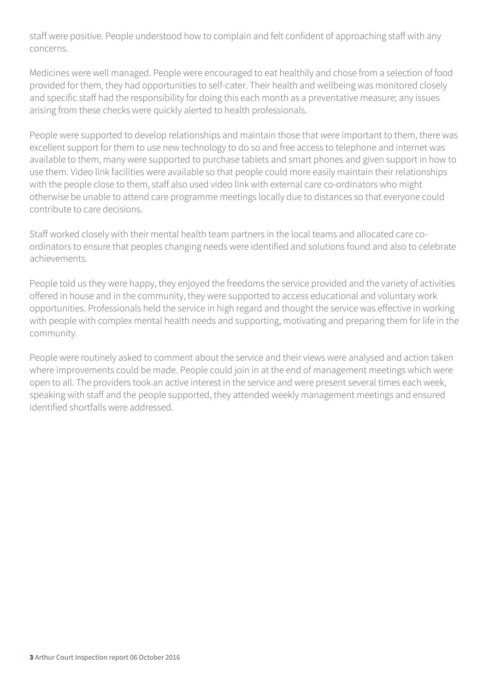staff were positive. People understood how to complain and felt confident of approaching staff with any concerns.

Medicines were well managed. People were encouraged to eat healthily and chose from a selection of food provided for them, they had opportunities to self-cater. Their health and wellbeing was monitored closely and specific staff had the responsibility for doing this each month as a preventative measure; any issues arising from these checks were quickly alerted to health professionals.

People were supported to develop relationships and maintain those that were important to them, there was excellent support for them to use new technology to do so and free access to telephone and internet was available to them, many were supported to purchase tablets and smart phones and given support in how to use them. Video link facilities were available so that people could more easily maintain their relationships with the people close to them, staff also used video link with external care co-ordinators who might otherwise be unable to attend care programme meetings locally due to distances so that everyone could contribute to care decisions.

Staff worked closely with their mental health team partners in the local teams and allocated care coordinators to ensure that peoples changing needs were identified and solutions found and also to celebrate achievements.

People told us they were happy, they enjoyed the freedoms the service provided and the variety of activities offered in house and in the community, they were supported to access educational and voluntary work opportunities. Professionals held the service in high regard and thought the service was effective in working with people with complex mental health needs and supporting, motivating and preparing them for life in the community.

People were routinely asked to comment about the service and their views were analysed and action taken where improvements could be made. People could join in at the end of management meetings which were open to all. The providers took an active interest in the service and were present several times each week, speaking with staff and the people supported, they attended weekly management meetings and ensured identified shortfalls were addressed.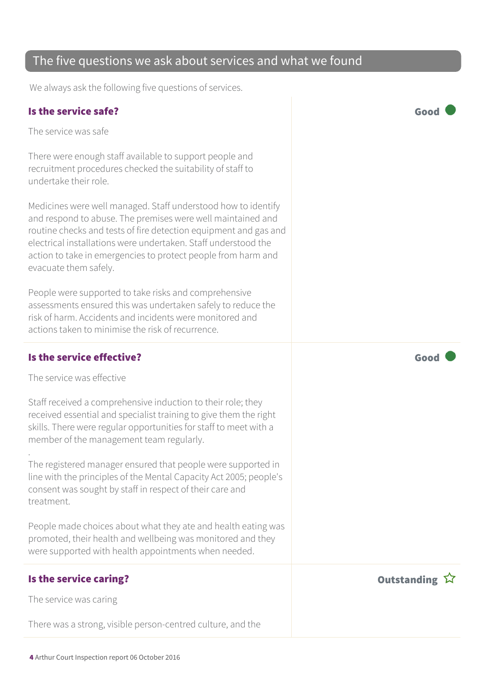#### The five questions we ask about services and what we found

We always ask the following five questions of services.

#### Is the service safe? Good

The service was safe

There were enough staff available to support people and recruitment procedures checked the suitability of staff to undertake their role.

Medicines were well managed. Staff understood how to identify and respond to abuse. The premises were well maintained and routine checks and tests of fire detection equipment and gas and electrical installations were undertaken. Staff understood the action to take in emergencies to protect people from harm and evacuate them safely.

People were supported to take risks and comprehensive assessments ensured this was undertaken safely to reduce the risk of harm. Accidents and incidents were monitored and actions taken to minimise the risk of recurrence.

#### Is the service effective?  $\Box$  Good  $\Box$

The service was effective

Staff received a comprehensive induction to their role; they received essential and specialist training to give them the right skills. There were regular opportunities for staff to meet with a member of the management team regularly.

. The registered manager ensured that people were supported in line with the principles of the Mental Capacity Act 2005; people's consent was sought by staff in respect of their care and treatment.

People made choices about what they ate and health eating was promoted, their health and wellbeing was monitored and they were supported with health appointments when needed.

#### Is the service caring? The service caring  $\hat{X}$

The service was caring

There was a strong, visible person-centred culture, and the

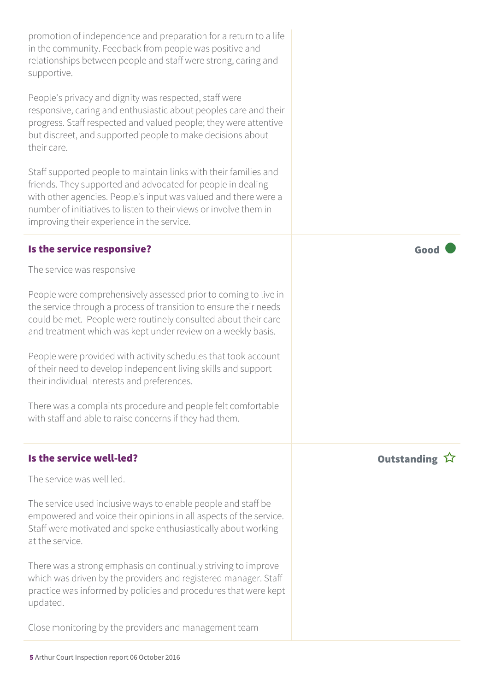promotion of independence and preparation for a return to a life in the community. Feedback from people was positive and relationships between people and staff were strong, caring and supportive.

People's privacy and dignity was respected, staff were responsive, caring and enthusiastic about peoples care and their progress. Staff respected and valued people; they were attentive but discreet, and supported people to make decisions about their care.

Staff supported people to maintain links with their families and friends. They supported and advocated for people in dealing with other agencies. People's input was valued and there were a number of initiatives to listen to their views or involve them in improving their experience in the service.

#### Is the service responsive?  $\Box$  Good  $\Box$

The service was responsive

People were comprehensively assessed prior to coming to live in the service through a process of transition to ensure their needs could be met. People were routinely consulted about their care and treatment which was kept under review on a weekly basis.

People were provided with activity schedules that took account of their need to develop independent living skills and support their individual interests and preferences.

There was a complaints procedure and people felt comfortable with staff and able to raise concerns if they had them.

#### Is the service well-led? Outstanding

The service was well led.

The service used inclusive ways to enable people and staff be empowered and voice their opinions in all aspects of the service. Staff were motivated and spoke enthusiastically about working at the service.

There was a strong emphasis on continually striving to improve which was driven by the providers and registered manager. Staff practice was informed by policies and procedures that were kept updated.

Close monitoring by the providers and management team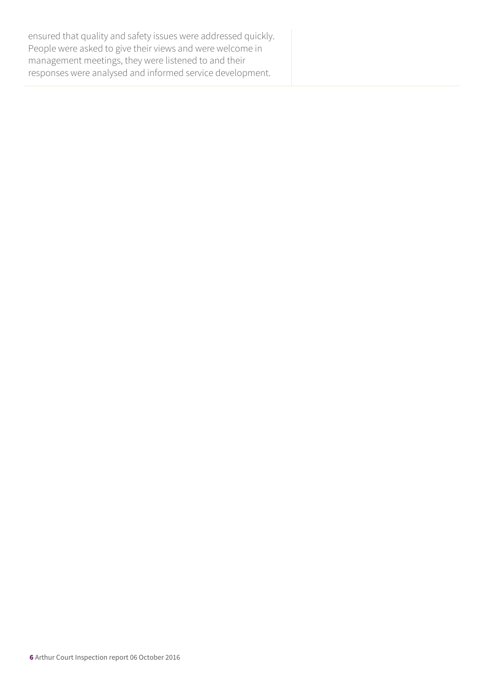ensured that quality and safety issues were addressed quickly. People were asked to give their views and were welcome in management meetings, they were listened to and their responses were analysed and informed service development.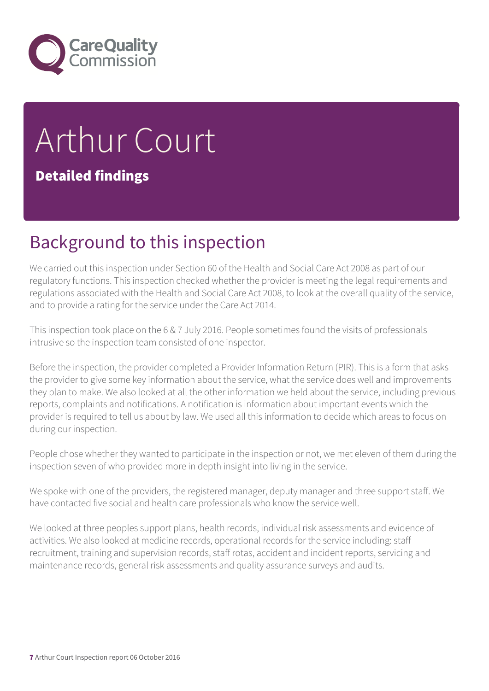

# Arthur Court Detailed findings

### Background to this inspection

We carried out this inspection under Section 60 of the Health and Social Care Act 2008 as part of our regulatory functions. This inspection checked whether the provider is meeting the legal requirements and regulations associated with the Health and Social Care Act 2008, to look at the overall quality of the service, and to provide a rating for the service under the Care Act 2014.

This inspection took place on the 6 & 7 July 2016. People sometimes found the visits of professionals intrusive so the inspection team consisted of one inspector.

Before the inspection, the provider completed a Provider Information Return (PIR). This is a form that asks the provider to give some key information about the service, what the service does well and improvements they plan to make. We also looked at all the other information we held about the service, including previous reports, complaints and notifications. A notification is information about important events which the provider is required to tell us about by law. We used all this information to decide which areas to focus on during our inspection.

People chose whether they wanted to participate in the inspection or not, we met eleven of them during the inspection seven of who provided more in depth insight into living in the service.

We spoke with one of the providers, the registered manager, deputy manager and three support staff. We have contacted five social and health care professionals who know the service well.

We looked at three peoples support plans, health records, individual risk assessments and evidence of activities. We also looked at medicine records, operational records for the service including: staff recruitment, training and supervision records, staff rotas, accident and incident reports, servicing and maintenance records, general risk assessments and quality assurance surveys and audits.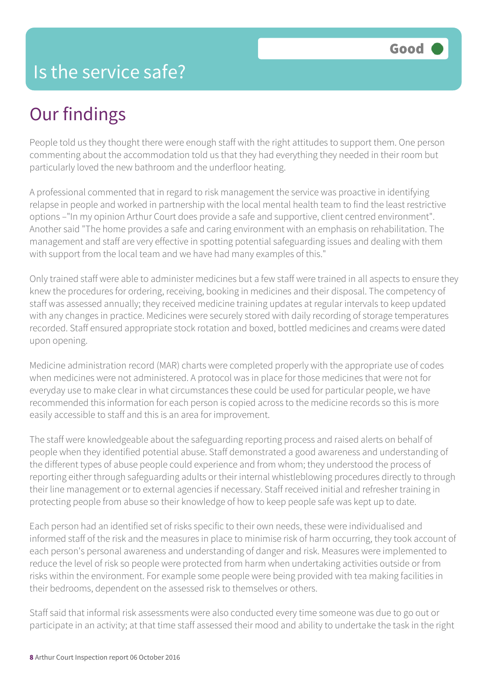# Our findings

People told us they thought there were enough staff with the right attitudes to support them. One person commenting about the accommodation told us that they had everything they needed in their room but particularly loved the new bathroom and the underfloor heating.

A professional commented that in regard to risk management the service was proactive in identifying relapse in people and worked in partnership with the local mental health team to find the least restrictive options –"In my opinion Arthur Court does provide a safe and supportive, client centred environment". Another said "The home provides a safe and caring environment with an emphasis on rehabilitation. The management and staff are very effective in spotting potential safeguarding issues and dealing with them with support from the local team and we have had many examples of this."

Only trained staff were able to administer medicines but a few staff were trained in all aspects to ensure they knew the procedures for ordering, receiving, booking in medicines and their disposal. The competency of staff was assessed annually; they received medicine training updates at regular intervals to keep updated with any changes in practice. Medicines were securely stored with daily recording of storage temperatures recorded. Staff ensured appropriate stock rotation and boxed, bottled medicines and creams were dated upon opening.

Medicine administration record (MAR) charts were completed properly with the appropriate use of codes when medicines were not administered. A protocol was in place for those medicines that were not for everyday use to make clear in what circumstances these could be used for particular people, we have recommended this information for each person is copied across to the medicine records so this is more easily accessible to staff and this is an area for improvement.

The staff were knowledgeable about the safeguarding reporting process and raised alerts on behalf of people when they identified potential abuse. Staff demonstrated a good awareness and understanding of the different types of abuse people could experience and from whom; they understood the process of reporting either through safeguarding adults or their internal whistleblowing procedures directly to through their line management or to external agencies if necessary. Staff received initial and refresher training in protecting people from abuse so their knowledge of how to keep people safe was kept up to date.

Each person had an identified set of risks specific to their own needs, these were individualised and informed staff of the risk and the measures in place to minimise risk of harm occurring, they took account of each person's personal awareness and understanding of danger and risk. Measures were implemented to reduce the level of risk so people were protected from harm when undertaking activities outside or from risks within the environment. For example some people were being provided with tea making facilities in their bedrooms, dependent on the assessed risk to themselves or others.

Staff said that informal risk assessments were also conducted every time someone was due to go out or participate in an activity; at that time staff assessed their mood and ability to undertake the task in the right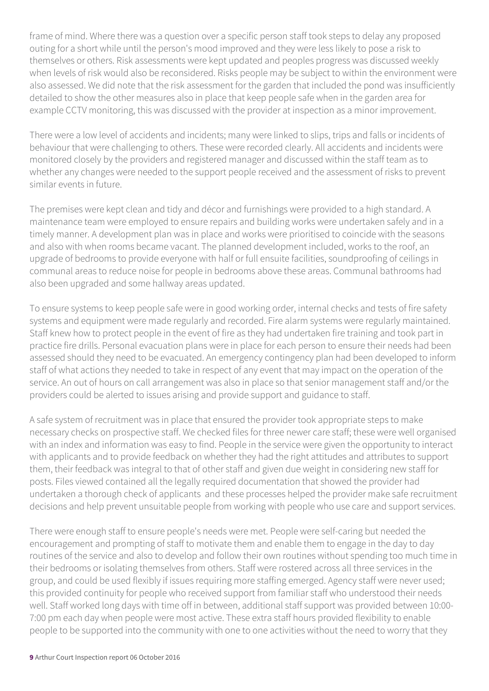frame of mind. Where there was a question over a specific person staff took steps to delay any proposed outing for a short while until the person's mood improved and they were less likely to pose a risk to themselves or others. Risk assessments were kept updated and peoples progress was discussed weekly when levels of risk would also be reconsidered. Risks people may be subject to within the environment were also assessed. We did note that the risk assessment for the garden that included the pond was insufficiently detailed to show the other measures also in place that keep people safe when in the garden area for example CCTV monitoring, this was discussed with the provider at inspection as a minor improvement.

There were a low level of accidents and incidents; many were linked to slips, trips and falls or incidents of behaviour that were challenging to others. These were recorded clearly. All accidents and incidents were monitored closely by the providers and registered manager and discussed within the staff team as to whether any changes were needed to the support people received and the assessment of risks to prevent similar events in future.

The premises were kept clean and tidy and décor and furnishings were provided to a high standard. A maintenance team were employed to ensure repairs and building works were undertaken safely and in a timely manner. A development plan was in place and works were prioritised to coincide with the seasons and also with when rooms became vacant. The planned development included, works to the roof, an upgrade of bedrooms to provide everyone with half or full ensuite facilities, soundproofing of ceilings in communal areas to reduce noise for people in bedrooms above these areas. Communal bathrooms had also been upgraded and some hallway areas updated.

To ensure systems to keep people safe were in good working order, internal checks and tests of fire safety systems and equipment were made regularly and recorded. Fire alarm systems were regularly maintained. Staff knew how to protect people in the event of fire as they had undertaken fire training and took part in practice fire drills. Personal evacuation plans were in place for each person to ensure their needs had been assessed should they need to be evacuated. An emergency contingency plan had been developed to inform staff of what actions they needed to take in respect of any event that may impact on the operation of the service. An out of hours on call arrangement was also in place so that senior management staff and/or the providers could be alerted to issues arising and provide support and guidance to staff.

A safe system of recruitment was in place that ensured the provider took appropriate steps to make necessary checks on prospective staff. We checked files for three newer care staff; these were well organised with an index and information was easy to find. People in the service were given the opportunity to interact with applicants and to provide feedback on whether they had the right attitudes and attributes to support them, their feedback was integral to that of other staff and given due weight in considering new staff for posts. Files viewed contained all the legally required documentation that showed the provider had undertaken a thorough check of applicants and these processes helped the provider make safe recruitment decisions and help prevent unsuitable people from working with people who use care and support services.

There were enough staff to ensure people's needs were met. People were self-caring but needed the encouragement and prompting of staff to motivate them and enable them to engage in the day to day routines of the service and also to develop and follow their own routines without spending too much time in their bedrooms or isolating themselves from others. Staff were rostered across all three services in the group, and could be used flexibly if issues requiring more staffing emerged. Agency staff were never used; this provided continuity for people who received support from familiar staff who understood their needs well. Staff worked long days with time off in between, additional staff support was provided between 10:00- 7:00 pm each day when people were most active. These extra staff hours provided flexibility to enable people to be supported into the community with one to one activities without the need to worry that they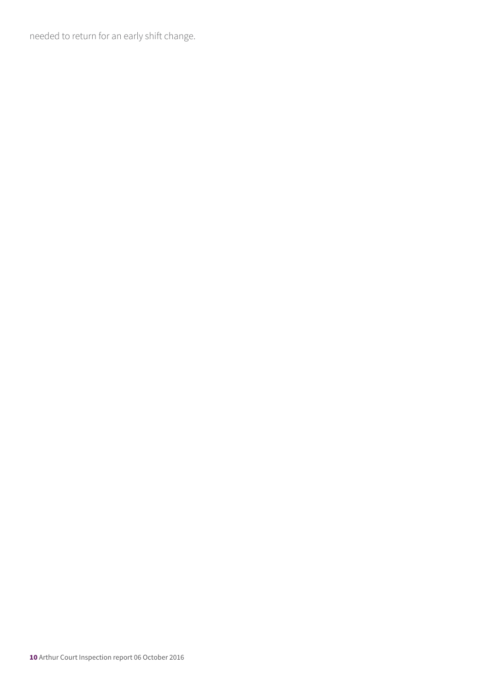needed to return for an early shift change.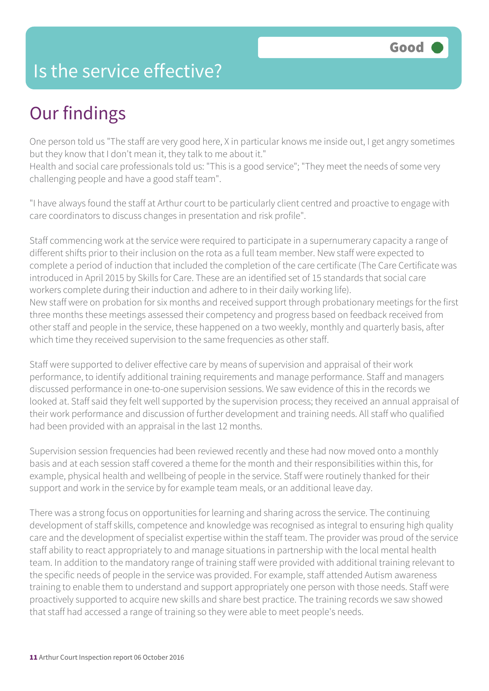### Is the service effective?

# Our findings

One person told us "The staff are very good here, X in particular knows me inside out, I get angry sometimes but they know that I don't mean it, they talk to me about it."

Health and social care professionals told us: "This is a good service"; "They meet the needs of some very challenging people and have a good staff team".

"I have always found the staff at Arthur court to be particularly client centred and proactive to engage with care coordinators to discuss changes in presentation and risk profile".

Staff commencing work at the service were required to participate in a supernumerary capacity a range of different shifts prior to their inclusion on the rota as a full team member. New staff were expected to complete a period of induction that included the completion of the care certificate (The Care Certificate was introduced in April 2015 by Skills for Care. These are an identified set of 15 standards that social care workers complete during their induction and adhere to in their daily working life). New staff were on probation for six months and received support through probationary meetings for the first three months these meetings assessed their competency and progress based on feedback received from other staff and people in the service, these happened on a two weekly, monthly and quarterly basis, after which time they received supervision to the same frequencies as other staff.

Staff were supported to deliver effective care by means of supervision and appraisal of their work performance, to identify additional training requirements and manage performance. Staff and managers discussed performance in one-to-one supervision sessions. We saw evidence of this in the records we looked at. Staff said they felt well supported by the supervision process; they received an annual appraisal of their work performance and discussion of further development and training needs. All staff who qualified had been provided with an appraisal in the last 12 months.

Supervision session frequencies had been reviewed recently and these had now moved onto a monthly basis and at each session staff covered a theme for the month and their responsibilities within this, for example, physical health and wellbeing of people in the service. Staff were routinely thanked for their support and work in the service by for example team meals, or an additional leave day.

There was a strong focus on opportunities for learning and sharing across the service. The continuing development of staff skills, competence and knowledge was recognised as integral to ensuring high quality care and the development of specialist expertise within the staff team. The provider was proud of the service staff ability to react appropriately to and manage situations in partnership with the local mental health team. In addition to the mandatory range of training staff were provided with additional training relevant to the specific needs of people in the service was provided. For example, staff attended Autism awareness training to enable them to understand and support appropriately one person with those needs. Staff were proactively supported to acquire new skills and share best practice. The training records we saw showed that staff had accessed a range of training so they were able to meet people's needs.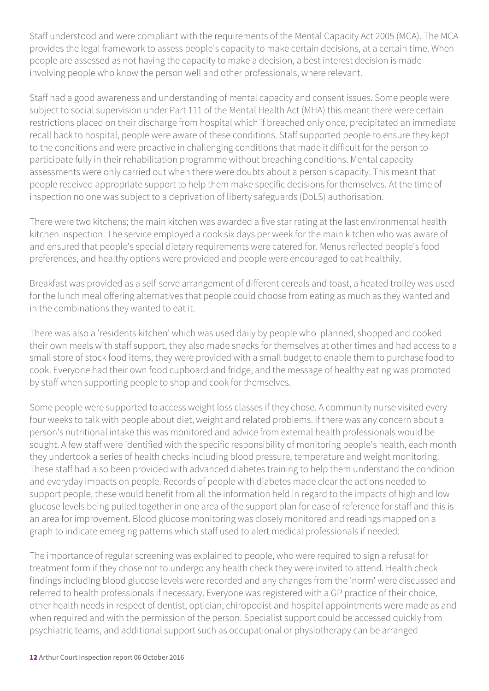Staff understood and were compliant with the requirements of the Mental Capacity Act 2005 (MCA). The MCA provides the legal framework to assess people's capacity to make certain decisions, at a certain time. When people are assessed as not having the capacity to make a decision, a best interest decision is made involving people who know the person well and other professionals, where relevant.

Staff had a good awareness and understanding of mental capacity and consent issues. Some people were subject to social supervision under Part 111 of the Mental Health Act (MHA) this meant there were certain restrictions placed on their discharge from hospital which if breached only once, precipitated an immediate recall back to hospital, people were aware of these conditions. Staff supported people to ensure they kept to the conditions and were proactive in challenging conditions that made it difficult for the person to participate fully in their rehabilitation programme without breaching conditions. Mental capacity assessments were only carried out when there were doubts about a person's capacity. This meant that people received appropriate support to help them make specific decisions for themselves. At the time of inspection no one was subject to a deprivation of liberty safeguards (DoLS) authorisation.

There were two kitchens; the main kitchen was awarded a five star rating at the last environmental health kitchen inspection. The service employed a cook six days per week for the main kitchen who was aware of and ensured that people's special dietary requirements were catered for. Menus reflected people's food preferences, and healthy options were provided and people were encouraged to eat healthily.

Breakfast was provided as a self-serve arrangement of different cereals and toast, a heated trolley was used for the lunch meal offering alternatives that people could choose from eating as much as they wanted and in the combinations they wanted to eat it.

There was also a 'residents kitchen' which was used daily by people who planned, shopped and cooked their own meals with staff support, they also made snacks for themselves at other times and had access to a small store of stock food items, they were provided with a small budget to enable them to purchase food to cook. Everyone had their own food cupboard and fridge, and the message of healthy eating was promoted by staff when supporting people to shop and cook for themselves.

Some people were supported to access weight loss classes if they chose. A community nurse visited every four weeks to talk with people about diet, weight and related problems. If there was any concern about a person's nutritional intake this was monitored and advice from external health professionals would be sought. A few staff were identified with the specific responsibility of monitoring people's health, each month they undertook a series of health checks including blood pressure, temperature and weight monitoring. These staff had also been provided with advanced diabetes training to help them understand the condition and everyday impacts on people. Records of people with diabetes made clear the actions needed to support people, these would benefit from all the information held in regard to the impacts of high and low glucose levels being pulled together in one area of the support plan for ease of reference for staff and this is an area for improvement. Blood glucose monitoring was closely monitored and readings mapped on a graph to indicate emerging patterns which staff used to alert medical professionals if needed.

The importance of regular screening was explained to people, who were required to sign a refusal for treatment form if they chose not to undergo any health check they were invited to attend. Health check findings including blood glucose levels were recorded and any changes from the 'norm' were discussed and referred to health professionals if necessary. Everyone was registered with a GP practice of their choice, other health needs in respect of dentist, optician, chiropodist and hospital appointments were made as and when required and with the permission of the person. Specialist support could be accessed quickly from psychiatric teams, and additional support such as occupational or physiotherapy can be arranged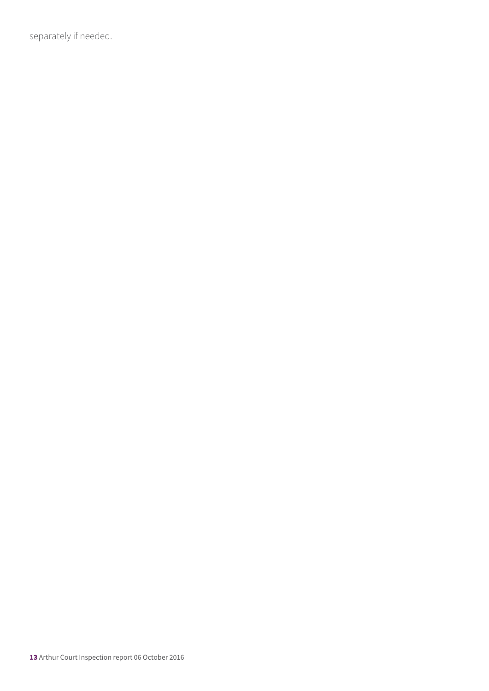separately if needed.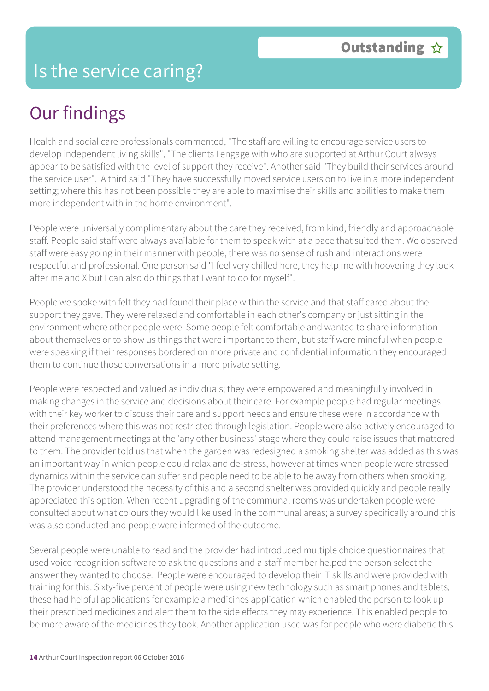### Is the service caring?

### Our findings

Health and social care professionals commented, "The staff are willing to encourage service users to develop independent living skills", "The clients I engage with who are supported at Arthur Court always appear to be satisfied with the level of support they receive". Another said "They build their services around the service user". A third said "They have successfully moved service users on to live in a more independent setting; where this has not been possible they are able to maximise their skills and abilities to make them more independent with in the home environment".

People were universally complimentary about the care they received, from kind, friendly and approachable staff. People said staff were always available for them to speak with at a pace that suited them. We observed staff were easy going in their manner with people, there was no sense of rush and interactions were respectful and professional. One person said "I feel very chilled here, they help me with hoovering they look after me and X but I can also do things that I want to do for myself".

People we spoke with felt they had found their place within the service and that staff cared about the support they gave. They were relaxed and comfortable in each other's company or just sitting in the environment where other people were. Some people felt comfortable and wanted to share information about themselves or to show us things that were important to them, but staff were mindful when people were speaking if their responses bordered on more private and confidential information they encouraged them to continue those conversations in a more private setting.

People were respected and valued as individuals; they were empowered and meaningfully involved in making changes in the service and decisions about their care. For example people had regular meetings with their key worker to discuss their care and support needs and ensure these were in accordance with their preferences where this was not restricted through legislation. People were also actively encouraged to attend management meetings at the 'any other business' stage where they could raise issues that mattered to them. The provider told us that when the garden was redesigned a smoking shelter was added as this was an important way in which people could relax and de-stress, however at times when people were stressed dynamics within the service can suffer and people need to be able to be away from others when smoking. The provider understood the necessity of this and a second shelter was provided quickly and people really appreciated this option. When recent upgrading of the communal rooms was undertaken people were consulted about what colours they would like used in the communal areas; a survey specifically around this was also conducted and people were informed of the outcome.

Several people were unable to read and the provider had introduced multiple choice questionnaires that used voice recognition software to ask the questions and a staff member helped the person select the answer they wanted to choose. People were encouraged to develop their IT skills and were provided with training for this. Sixty-five percent of people were using new technology such as smart phones and tablets; these had helpful applications for example a medicines application which enabled the person to look up their prescribed medicines and alert them to the side effects they may experience. This enabled people to be more aware of the medicines they took. Another application used was for people who were diabetic this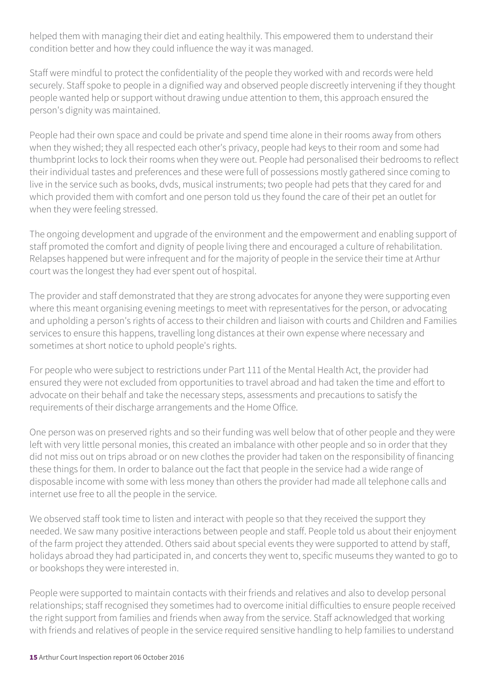helped them with managing their diet and eating healthily. This empowered them to understand their condition better and how they could influence the way it was managed.

Staff were mindful to protect the confidentiality of the people they worked with and records were held securely. Staff spoke to people in a dignified way and observed people discreetly intervening if they thought people wanted help or support without drawing undue attention to them, this approach ensured the person's dignity was maintained.

People had their own space and could be private and spend time alone in their rooms away from others when they wished; they all respected each other's privacy, people had keys to their room and some had thumbprint locks to lock their rooms when they were out. People had personalised their bedrooms to reflect their individual tastes and preferences and these were full of possessions mostly gathered since coming to live in the service such as books, dvds, musical instruments; two people had pets that they cared for and which provided them with comfort and one person told us they found the care of their pet an outlet for when they were feeling stressed.

The ongoing development and upgrade of the environment and the empowerment and enabling support of staff promoted the comfort and dignity of people living there and encouraged a culture of rehabilitation. Relapses happened but were infrequent and for the majority of people in the service their time at Arthur court was the longest they had ever spent out of hospital.

The provider and staff demonstrated that they are strong advocates for anyone they were supporting even where this meant organising evening meetings to meet with representatives for the person, or advocating and upholding a person's rights of access to their children and liaison with courts and Children and Families services to ensure this happens, travelling long distances at their own expense where necessary and sometimes at short notice to uphold people's rights.

For people who were subject to restrictions under Part 111 of the Mental Health Act, the provider had ensured they were not excluded from opportunities to travel abroad and had taken the time and effort to advocate on their behalf and take the necessary steps, assessments and precautions to satisfy the requirements of their discharge arrangements and the Home Office.

One person was on preserved rights and so their funding was well below that of other people and they were left with very little personal monies, this created an imbalance with other people and so in order that they did not miss out on trips abroad or on new clothes the provider had taken on the responsibility of financing these things for them. In order to balance out the fact that people in the service had a wide range of disposable income with some with less money than others the provider had made all telephone calls and internet use free to all the people in the service.

We observed staff took time to listen and interact with people so that they received the support they needed. We saw many positive interactions between people and staff. People told us about their enjoyment of the farm project they attended. Others said about special events they were supported to attend by staff, holidays abroad they had participated in, and concerts they went to, specific museums they wanted to go to or bookshops they were interested in.

People were supported to maintain contacts with their friends and relatives and also to develop personal relationships; staff recognised they sometimes had to overcome initial difficulties to ensure people received the right support from families and friends when away from the service. Staff acknowledged that working with friends and relatives of people in the service required sensitive handling to help families to understand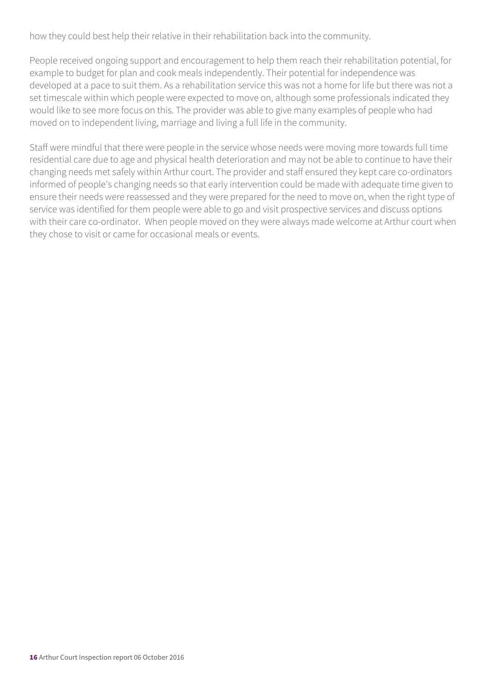how they could best help their relative in their rehabilitation back into the community.

People received ongoing support and encouragement to help them reach their rehabilitation potential, for example to budget for plan and cook meals independently. Their potential for independence was developed at a pace to suit them. As a rehabilitation service this was not a home for life but there was not a set timescale within which people were expected to move on, although some professionals indicated they would like to see more focus on this. The provider was able to give many examples of people who had moved on to independent living, marriage and living a full life in the community.

Staff were mindful that there were people in the service whose needs were moving more towards full time residential care due to age and physical health deterioration and may not be able to continue to have their changing needs met safely within Arthur court. The provider and staff ensured they kept care co-ordinators informed of people's changing needs so that early intervention could be made with adequate time given to ensure their needs were reassessed and they were prepared for the need to move on, when the right type of service was identified for them people were able to go and visit prospective services and discuss options with their care co-ordinator. When people moved on they were always made welcome at Arthur court when they chose to visit or came for occasional meals or events.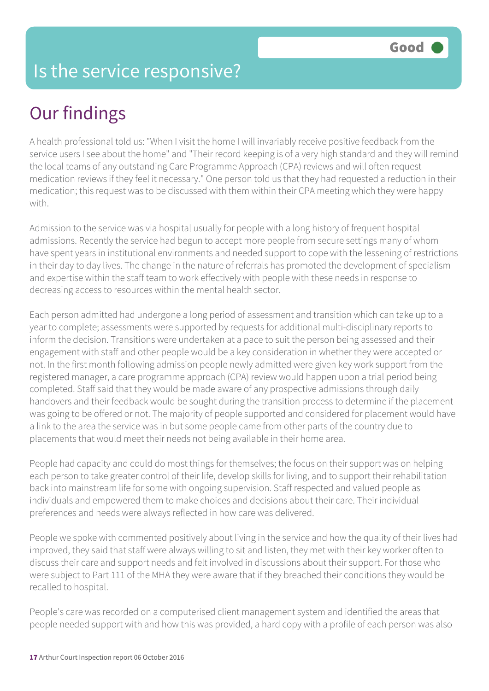### Is the service responsive?

# Our findings

A health professional told us: "When I visit the home I will invariably receive positive feedback from the service users I see about the home" and "Their record keeping is of a very high standard and they will remind the local teams of any outstanding Care Programme Approach (CPA) reviews and will often request medication reviews if they feel it necessary." One person told us that they had requested a reduction in their medication; this request was to be discussed with them within their CPA meeting which they were happy with.

Admission to the service was via hospital usually for people with a long history of frequent hospital admissions. Recently the service had begun to accept more people from secure settings many of whom have spent years in institutional environments and needed support to cope with the lessening of restrictions in their day to day lives. The change in the nature of referrals has promoted the development of specialism and expertise within the staff team to work effectively with people with these needs in response to decreasing access to resources within the mental health sector.

Each person admitted had undergone a long period of assessment and transition which can take up to a year to complete; assessments were supported by requests for additional multi-disciplinary reports to inform the decision. Transitions were undertaken at a pace to suit the person being assessed and their engagement with staff and other people would be a key consideration in whether they were accepted or not. In the first month following admission people newly admitted were given key work support from the registered manager, a care programme approach (CPA) review would happen upon a trial period being completed. Staff said that they would be made aware of any prospective admissions through daily handovers and their feedback would be sought during the transition process to determine if the placement was going to be offered or not. The majority of people supported and considered for placement would have a link to the area the service was in but some people came from other parts of the country due to placements that would meet their needs not being available in their home area.

People had capacity and could do most things for themselves; the focus on their support was on helping each person to take greater control of their life, develop skills for living, and to support their rehabilitation back into mainstream life for some with ongoing supervision. Staff respected and valued people as individuals and empowered them to make choices and decisions about their care. Their individual preferences and needs were always reflected in how care was delivered.

People we spoke with commented positively about living in the service and how the quality of their lives had improved, they said that staff were always willing to sit and listen, they met with their key worker often to discuss their care and support needs and felt involved in discussions about their support. For those who were subject to Part 111 of the MHA they were aware that if they breached their conditions they would be recalled to hospital.

People's care was recorded on a computerised client management system and identified the areas that people needed support with and how this was provided, a hard copy with a profile of each person was also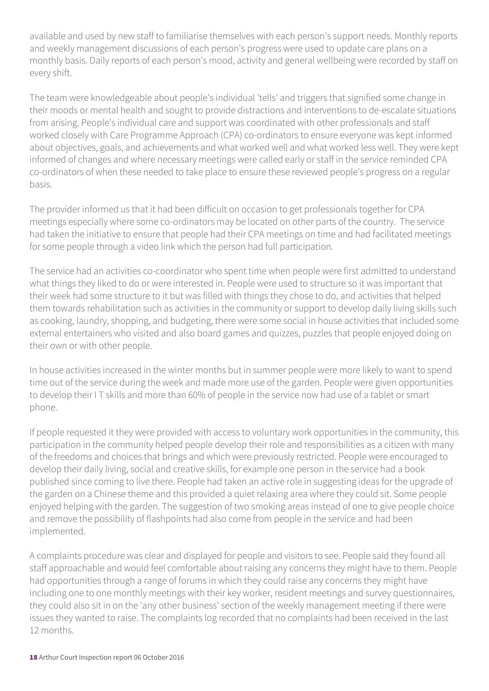available and used by new staff to familiarise themselves with each person's support needs. Monthly reports and weekly management discussions of each person's progress were used to update care plans on a monthly basis. Daily reports of each person's mood, activity and general wellbeing were recorded by staff on every shift.

The team were knowledgeable about people's individual 'tells' and triggers that signified some change in their moods or mental health and sought to provide distractions and interventions to de-escalate situations from arising. People's individual care and support was coordinated with other professionals and staff worked closely with Care Programme Approach (CPA) co-ordinators to ensure everyone was kept informed about objectives, goals, and achievements and what worked well and what worked less well. They were kept informed of changes and where necessary meetings were called early or staff in the service reminded CPA co-ordinators of when these needed to take place to ensure these reviewed people's progress on a regular basis.

The provider informed us that it had been difficult on occasion to get professionals together for CPA meetings especially where some co-ordinators may be located on other parts of the country. The service had taken the initiative to ensure that people had their CPA meetings on time and had facilitated meetings for some people through a video link which the person had full participation.

The service had an activities co-coordinator who spent time when people were first admitted to understand what things they liked to do or were interested in. People were used to structure so it was important that their week had some structure to it but was filled with things they chose to do, and activities that helped them towards rehabilitation such as activities in the community or support to develop daily living skills such as cooking, laundry, shopping, and budgeting, there were some social in house activities that included some external entertainers who visited and also board games and quizzes, puzzles that people enjoyed doing on their own or with other people.

In house activities increased in the winter months but in summer people were more likely to want to spend time out of the service during the week and made more use of the garden. People were given opportunities to develop their I T skills and more than 60% of people in the service now had use of a tablet or smart phone.

If people requested it they were provided with access to voluntary work opportunities in the community, this participation in the community helped people develop their role and responsibilities as a citizen with many of the freedoms and choices that brings and which were previously restricted. People were encouraged to develop their daily living, social and creative skills, for example one person in the service had a book published since coming to live there. People had taken an active role in suggesting ideas for the upgrade of the garden on a Chinese theme and this provided a quiet relaxing area where they could sit. Some people enjoyed helping with the garden. The suggestion of two smoking areas instead of one to give people choice and remove the possibility of flashpoints had also come from people in the service and had been implemented.

A complaints procedure was clear and displayed for people and visitors to see. People said they found all staff approachable and would feel comfortable about raising any concerns they might have to them. People had opportunities through a range of forums in which they could raise any concerns they might have including one to one monthly meetings with their key worker, resident meetings and survey questionnaires, they could also sit in on the 'any other business' section of the weekly management meeting if there were issues they wanted to raise. The complaints log recorded that no complaints had been received in the last 12 months.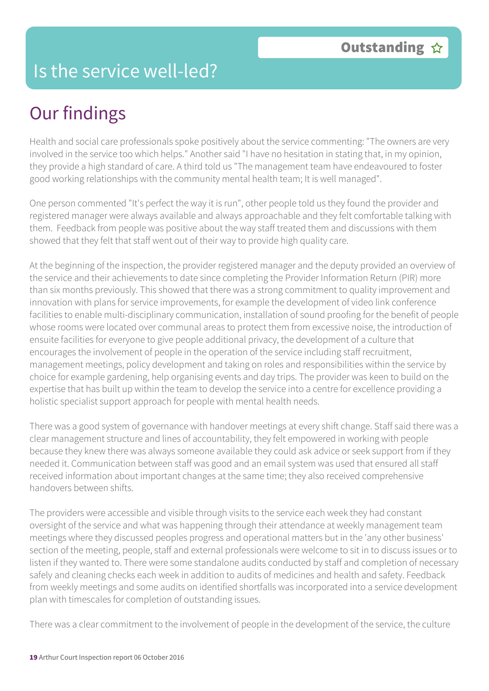### Is the service well-led?

# Our findings

Health and social care professionals spoke positively about the service commenting: "The owners are very involved in the service too which helps." Another said "I have no hesitation in stating that, in my opinion, they provide a high standard of care. A third told us "The management team have endeavoured to foster good working relationships with the community mental health team; It is well managed".

One person commented "It's perfect the way it is run", other people told us they found the provider and registered manager were always available and always approachable and they felt comfortable talking with them. Feedback from people was positive about the way staff treated them and discussions with them showed that they felt that staff went out of their way to provide high quality care.

At the beginning of the inspection, the provider registered manager and the deputy provided an overview of the service and their achievements to date since completing the Provider Information Return (PIR) more than six months previously. This showed that there was a strong commitment to quality improvement and innovation with plans for service improvements, for example the development of video link conference facilities to enable multi-disciplinary communication, installation of sound proofing for the benefit of people whose rooms were located over communal areas to protect them from excessive noise, the introduction of ensuite facilities for everyone to give people additional privacy, the development of a culture that encourages the involvement of people in the operation of the service including staff recruitment, management meetings, policy development and taking on roles and responsibilities within the service by choice for example gardening, help organising events and day trips. The provider was keen to build on the expertise that has built up within the team to develop the service into a centre for excellence providing a holistic specialist support approach for people with mental health needs.

There was a good system of governance with handover meetings at every shift change. Staff said there was a clear management structure and lines of accountability, they felt empowered in working with people because they knew there was always someone available they could ask advice or seek support from if they needed it. Communication between staff was good and an email system was used that ensured all staff received information about important changes at the same time; they also received comprehensive handovers between shifts.

The providers were accessible and visible through visits to the service each week they had constant oversight of the service and what was happening through their attendance at weekly management team meetings where they discussed peoples progress and operational matters but in the 'any other business' section of the meeting, people, staff and external professionals were welcome to sit in to discuss issues or to listen if they wanted to. There were some standalone audits conducted by staff and completion of necessary safely and cleaning checks each week in addition to audits of medicines and health and safety. Feedback from weekly meetings and some audits on identified shortfalls was incorporated into a service development plan with timescales for completion of outstanding issues.

There was a clear commitment to the involvement of people in the development of the service, the culture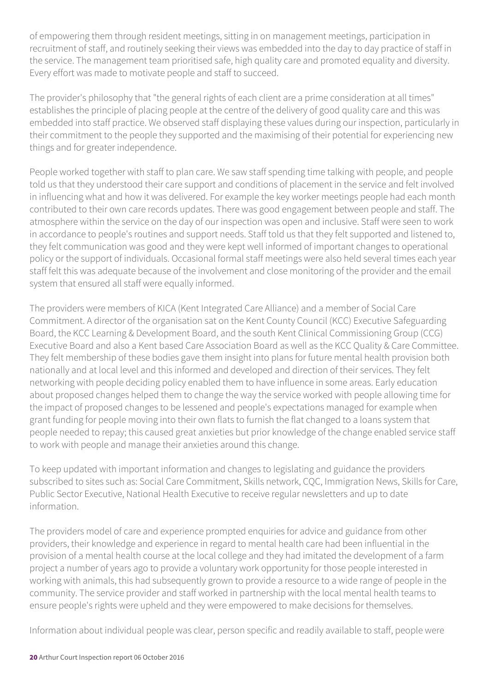of empowering them through resident meetings, sitting in on management meetings, participation in recruitment of staff, and routinely seeking their views was embedded into the day to day practice of staff in the service. The management team prioritised safe, high quality care and promoted equality and diversity. Every effort was made to motivate people and staff to succeed.

The provider's philosophy that "the general rights of each client are a prime consideration at all times" establishes the principle of placing people at the centre of the delivery of good quality care and this was embedded into staff practice. We observed staff displaying these values during our inspection, particularly in their commitment to the people they supported and the maximising of their potential for experiencing new things and for greater independence.

People worked together with staff to plan care. We saw staff spending time talking with people, and people told us that they understood their care support and conditions of placement in the service and felt involved in influencing what and how it was delivered. For example the key worker meetings people had each month contributed to their own care records updates. There was good engagement between people and staff. The atmosphere within the service on the day of our inspection was open and inclusive. Staff were seen to work in accordance to people's routines and support needs. Staff told us that they felt supported and listened to, they felt communication was good and they were kept well informed of important changes to operational policy or the support of individuals. Occasional formal staff meetings were also held several times each year staff felt this was adequate because of the involvement and close monitoring of the provider and the email system that ensured all staff were equally informed.

The providers were members of KICA (Kent Integrated Care Alliance) and a member of Social Care Commitment. A director of the organisation sat on the Kent County Council (KCC) Executive Safeguarding Board, the KCC Learning & Development Board, and the south Kent Clinical Commissioning Group (CCG) Executive Board and also a Kent based Care Association Board as well as the KCC Quality & Care Committee. They felt membership of these bodies gave them insight into plans for future mental health provision both nationally and at local level and this informed and developed and direction of their services. They felt networking with people deciding policy enabled them to have influence in some areas. Early education about proposed changes helped them to change the way the service worked with people allowing time for the impact of proposed changes to be lessened and people's expectations managed for example when grant funding for people moving into their own flats to furnish the flat changed to a loans system that people needed to repay; this caused great anxieties but prior knowledge of the change enabled service staff to work with people and manage their anxieties around this change.

To keep updated with important information and changes to legislating and guidance the providers subscribed to sites such as: Social Care Commitment, Skills network, CQC, Immigration News, Skills for Care, Public Sector Executive, National Health Executive to receive regular newsletters and up to date information.

The providers model of care and experience prompted enquiries for advice and guidance from other providers, their knowledge and experience in regard to mental health care had been influential in the provision of a mental health course at the local college and they had imitated the development of a farm project a number of years ago to provide a voluntary work opportunity for those people interested in working with animals, this had subsequently grown to provide a resource to a wide range of people in the community. The service provider and staff worked in partnership with the local mental health teams to ensure people's rights were upheld and they were empowered to make decisions for themselves.

Information about individual people was clear, person specific and readily available to staff, people were